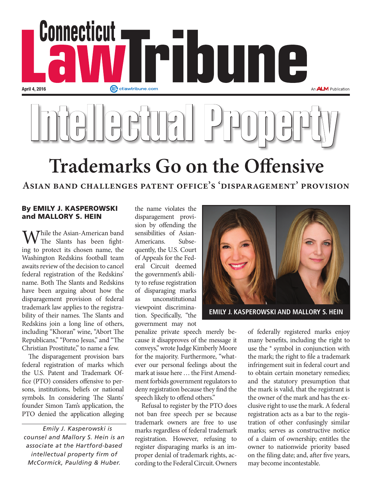

**Asian band challenges patent office's 'disparagement' provision**

## By EMILY J. KASPEROWSKI and MALLORY S. HEIN

Thile the Asian-American band The Slants has been fighting to protect its chosen name, the Washington Redskins football team awaits review of the decision to cancel federal registration of the Redskins' name. Both The Slants and Redskins have been arguing about how the disparagement provision of federal trademark law applies to the registrability of their names. The Slants and Redskins join a long line of others, including "Khoran" wine, "Abort The Republicans," "Porno Jesus," and "The Christian Prostitute," to name a few.

The disparagement provision bars federal registration of marks which the U.S. Patent and Trademark Office (PTO) considers offensive to persons, institutions, beliefs or national symbols. In considering The Slants' founder Simon Tam's application, the PTO denied the application alleging

*Emily J. Kasperowski is counsel and Mallory S. Hein is an associate at the Hartford-based intellectual property firm of McCormick, Paulding & Huber.* 

the name violates the disparagement provision by offending the sensibilities of Asian-Americans. Subsequently, the U.S. Court of Appeals for the Federal Circuit deemed the government's ability to refuse registration of disparaging marks as unconstitutional viewpoint discrimination. Specifically, "the government may not

penalize private speech merely because it disapproves of the message it conveys," wrote Judge Kimberly Moore for the majority. Furthermore, "whatever our personal feelings about the mark at issue here … the First Amendment forbids government regulators to deny registration because they find the speech likely to offend others."

Refusal to register by the PTO does not ban free speech per se because trademark owners are free to use marks regardless of federal trademark registration. However, refusing to register disparaging marks is an improper denial of trademark rights, according to the Federal Circuit. Owners



of federally registered marks enjoy many benefits, including the right to use the ® symbol in conjunction with the mark; the right to file a trademark infringement suit in federal court and to obtain certain monetary remedies; and the statutory presumption that the mark is valid, that the registrant is the owner of the mark and has the exclusive right to use the mark. A federal registration acts as a bar to the registration of other confusingly similar marks; serves as constructive notice of a claim of ownership; entitles the owner to nationwide priority based on the filing date; and, after five years, may become incontestable.